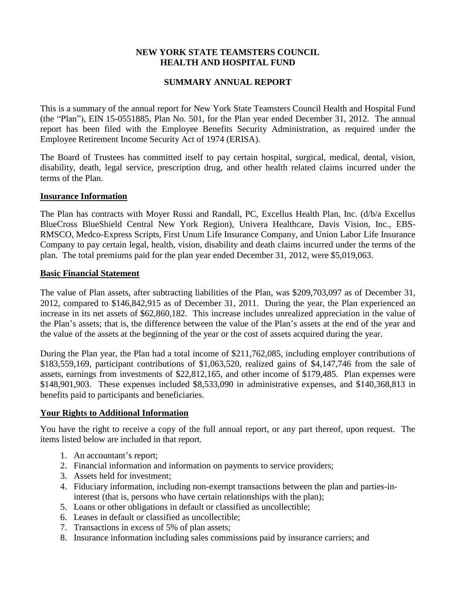## **NEW YORK STATE TEAMSTERS COUNCIL HEALTH AND HOSPITAL FUND**

# **SUMMARY ANNUAL REPORT**

This is a summary of the annual report for New York State Teamsters Council Health and Hospital Fund (the "Plan"), EIN 15-0551885, Plan No. 501, for the Plan year ended December 31, 2012. The annual report has been filed with the Employee Benefits Security Administration, as required under the Employee Retirement Income Security Act of 1974 (ERISA).

The Board of Trustees has committed itself to pay certain hospital, surgical, medical, dental, vision, disability, death, legal service, prescription drug, and other health related claims incurred under the terms of the Plan.

#### **Insurance Information**

The Plan has contracts with Moyer Russi and Randall, PC, Excellus Health Plan, Inc. (d/b/a Excellus BlueCross BlueShield Central New York Region), Univera Healthcare, Davis Vision, Inc., EBS-RMSCO, Medco-Express Scripts, First Unum Life Insurance Company, and Union Labor Life Insurance Company to pay certain legal, health, vision, disability and death claims incurred under the terms of the plan. The total premiums paid for the plan year ended December 31, 2012, were \$5,019,063.

#### **Basic Financial Statement**

The value of Plan assets, after subtracting liabilities of the Plan, was \$209,703,097 as of December 31, 2012, compared to \$146,842,915 as of December 31, 2011. During the year, the Plan experienced an increase in its net assets of \$62,860,182. This increase includes unrealized appreciation in the value of the Plan's assets; that is, the difference between the value of the Plan's assets at the end of the year and the value of the assets at the beginning of the year or the cost of assets acquired during the year.

During the Plan year, the Plan had a total income of \$211,762,085, including employer contributions of \$183,559,169, participant contributions of \$1,063,520, realized gains of \$4,147,746 from the sale of assets, earnings from investments of \$22,812,165, and other income of \$179,485. Plan expenses were \$148,901,903. These expenses included \$8,533,090 in administrative expenses, and \$140,368,813 in benefits paid to participants and beneficiaries.

### **Your Rights to Additional Information**

You have the right to receive a copy of the full annual report, or any part thereof, upon request. The items listed below are included in that report.

- 1. An accountant's report;
- 2. Financial information and information on payments to service providers;
- 3. Assets held for investment;
- 4. Fiduciary information, including non-exempt transactions between the plan and parties-ininterest (that is, persons who have certain relationships with the plan);
- 5. Loans or other obligations in default or classified as uncollectible;
- 6. Leases in default or classified as uncollectible;
- 7. Transactions in excess of 5% of plan assets;
- 8. Insurance information including sales commissions paid by insurance carriers; and